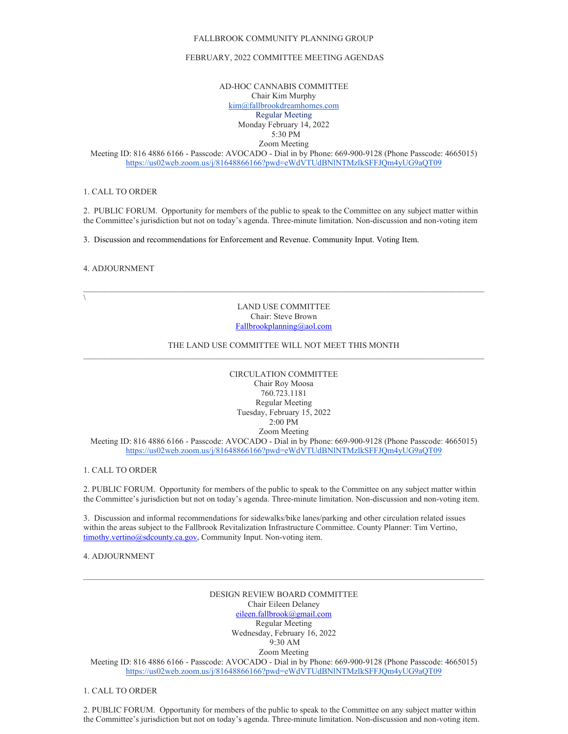### FALLBROOK COMMUNITY PLANNING GROUP

### FEBRUARY, 2022 COMMITTEE MEETING AGENDAS

AD-HOC CANNABIS COMMITTEE Chair Kim Murphy [kim@fallbrookdreamhomes.com](mailto:kim@fallbrookdreamhomes.com) Regular Meeting Monday February 14, 2022 5:30 PM Zoom Meeting

Meeting ID: 816 4886 6166 - Passcode: AVOCADO - Dial in by Phone: 669-900-9128 (Phone Passcode: 4665015) <https://us02web.zoom.us/j/81648866166?pwd=eWdVTUdBNlNTMzlkSFFJQm4yUG9aQT09>

# 1. CALL TO ORDER

2. PUBLIC FORUM. Opportunity for members of the public to speak to the Committee on any subject matter within the Committee's jurisdiction but not on today's agenda. Three-minute limitation. Non-discussion and non-voting item

3. Discussion and recommendations for Enforcement and Revenue. Community Input. Voting Item.

#### 4. ADJOURNMENT

 $\setminus$ 

LAND USE COMMITTEE Chair: Steve Brown [Fallbrookplanning@aol.com](mailto:Fallbrookplanning@aol.com)

 $\mathcal{L}_\mathcal{L} = \{ \mathcal{L}_\mathcal{L} = \{ \mathcal{L}_\mathcal{L} = \{ \mathcal{L}_\mathcal{L} = \{ \mathcal{L}_\mathcal{L} = \{ \mathcal{L}_\mathcal{L} = \{ \mathcal{L}_\mathcal{L} = \{ \mathcal{L}_\mathcal{L} = \{ \mathcal{L}_\mathcal{L} = \{ \mathcal{L}_\mathcal{L} = \{ \mathcal{L}_\mathcal{L} = \{ \mathcal{L}_\mathcal{L} = \{ \mathcal{L}_\mathcal{L} = \{ \mathcal{L}_\mathcal{L} = \{ \mathcal{L}_\mathcal{$ 

## THE LAND USE COMMITTEE WILL NOT MEET THIS MONTH

CIRCULATION COMMITTEE Chair Roy Moosa 760.723.1181 Regular Meeting Tuesday, February 15, 2022 2:00 PM Zoom Meeting

Meeting ID: 816 4886 6166 - Passcode: AVOCADO - Dial in by Phone: 669-900-9128 (Phone Passcode: 4665015) <https://us02web.zoom.us/j/81648866166?pwd=eWdVTUdBNlNTMzlkSFFJQm4yUG9aQT09>

### 1. CALL TO ORDER

2. PUBLIC FORUM. Opportunity for members of the public to speak to the Committee on any subject matter within the Committee's jurisdiction but not on today's agenda. Three-minute limitation. Non-discussion and non-voting item.

3. Discussion and informal recommendations for sidewalks/bike lanes/parking and other circulation related issues within the areas subject to the Fallbrook Revitalization Infrastructure Committee. County Planner: Tim Vertino, [timothy.vertino@sdcounty.ca.gov,](mailto:timothy.vertino@sdcounty.ca.gov) Community Input. Non-voting item.

# 4. ADJOURNMENT

DESIGN REVIEW BOARD COMMITTEE Chair Eileen Delaney [eileen.fallbrook@gmail.com](mailto:eileen.fallbrook@gmail.com) Regular Meeting Wednesday, February 16, 2022 9:30 AM Zoom Meeting

 $\mathcal{L}_\mathcal{L} = \{ \mathcal{L}_\mathcal{L} = \{ \mathcal{L}_\mathcal{L} = \{ \mathcal{L}_\mathcal{L} = \{ \mathcal{L}_\mathcal{L} = \{ \mathcal{L}_\mathcal{L} = \{ \mathcal{L}_\mathcal{L} = \{ \mathcal{L}_\mathcal{L} = \{ \mathcal{L}_\mathcal{L} = \{ \mathcal{L}_\mathcal{L} = \{ \mathcal{L}_\mathcal{L} = \{ \mathcal{L}_\mathcal{L} = \{ \mathcal{L}_\mathcal{L} = \{ \mathcal{L}_\mathcal{L} = \{ \mathcal{L}_\mathcal{$ 

Meeting ID: 816 4886 6166 - Passcode: AVOCADO - Dial in by Phone: 669-900-9128 (Phone Passcode: 4665015) <https://us02web.zoom.us/j/81648866166?pwd=eWdVTUdBNlNTMzlkSFFJQm4yUG9aQT09>

# 1. CALL TO ORDER

2. PUBLIC FORUM. Opportunity for members of the public to speak to the Committee on any subject matter within the Committee's jurisdiction but not on today's agenda. Three-minute limitation. Non-discussion and non-voting item.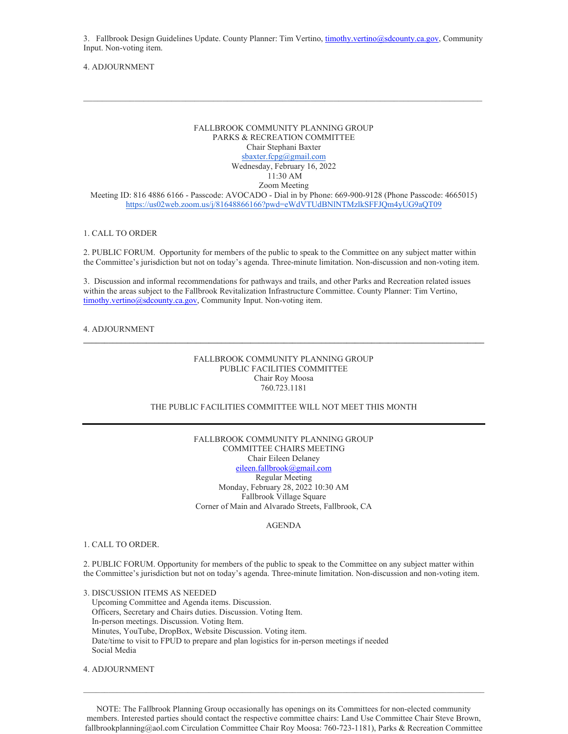3. Fallbrook Design Guidelines Update. County Planner: Tim Vertino[, timothy.vertino@sdcounty.ca.gov,](mailto:timothy.vertino@sdcounty.ca.gov) Community Input. Non-voting item.

 $\mathcal{L}_\mathcal{L} = \{ \mathcal{L}_\mathcal{L} = \{ \mathcal{L}_\mathcal{L} = \{ \mathcal{L}_\mathcal{L} = \{ \mathcal{L}_\mathcal{L} = \{ \mathcal{L}_\mathcal{L} = \{ \mathcal{L}_\mathcal{L} = \{ \mathcal{L}_\mathcal{L} = \{ \mathcal{L}_\mathcal{L} = \{ \mathcal{L}_\mathcal{L} = \{ \mathcal{L}_\mathcal{L} = \{ \mathcal{L}_\mathcal{L} = \{ \mathcal{L}_\mathcal{L} = \{ \mathcal{L}_\mathcal{L} = \{ \mathcal{L}_\mathcal{$ 

## 4. ADJOURNMENT

# FALLBROOK COMMUNITY PLANNING GROUP PARKS & RECREATION COMMITTEE Chair Stephani Baxter [sbaxter.fcpg@gmail.com](mailto:sbaxter.fcpg@gmail.com) Wednesday, February 16, 2022 11:30 AM Zoom Meeting

Meeting ID: 816 4886 6166 - Passcode: AVOCADO - Dial in by Phone: 669-900-9128 (Phone Passcode: 4665015) <https://us02web.zoom.us/j/81648866166?pwd=eWdVTUdBNlNTMzlkSFFJQm4yUG9aQT09>

### 1. CALL TO ORDER

2. PUBLIC FORUM. Opportunity for members of the public to speak to the Committee on any subject matter within the Committee's jurisdiction but not on today's agenda. Three-minute limitation. Non-discussion and non-voting item.

3. Discussion and informal recommendations for pathways and trails, and other Parks and Recreation related issues within the areas subject to the Fallbrook Revitalization Infrastructure Committee. County Planner: Tim Vertino, [timothy.vertino@sdcounty.ca.gov,](mailto:timothy.vertino@sdcounty.ca.gov) Community Input. Non-voting item.

### 4. ADJOURNMENT

## FALLBROOK COMMUNITY PLANNING GROUP PUBLIC FACILITIES COMMITTEE Chair Roy Moosa 760.723.1181

## THE PUBLIC FACILITIES COMMITTEE WILL NOT MEET THIS MONTH

FALLBROOK COMMUNITY PLANNING GROUP COMMITTEE CHAIRS MEETING Chair Eileen Delaney [eileen.fallbrook@gmail.com](mailto:eileen.fallbrook@gmail.com) Regular Meeting Monday, February 28, 2022 10:30 AM Fallbrook Village Square Corner of Main and Alvarado Streets, Fallbrook, CA

### AGENDA

#### 1. CALL TO ORDER.

2. PUBLIC FORUM. Opportunity for members of the public to speak to the Committee on any subject matter within the Committee's jurisdiction but not on today's agenda. Three-minute limitation. Non-discussion and non-voting item.

3. DISCUSSION ITEMS AS NEEDED Upcoming Committee and Agenda items. Discussion. Officers, Secretary and Chairs duties. Discussion. Voting Item. In-person meetings. Discussion. Voting Item. Minutes, YouTube, DropBox, Website Discussion. Voting item. Date/time to visit to FPUD to prepare and plan logistics for in-person meetings if needed Social Media

4. ADJOURNMENT

NOTE: The Fallbrook Planning Group occasionally has openings on its Committees for non-elected community members. Interested parties should contact the respective committee chairs: Land Use Committee Chair Steve Brown, fallbrookplanning@aol.com Circulation Committee Chair Roy Moosa: 760-723-1181), Parks & Recreation Committee